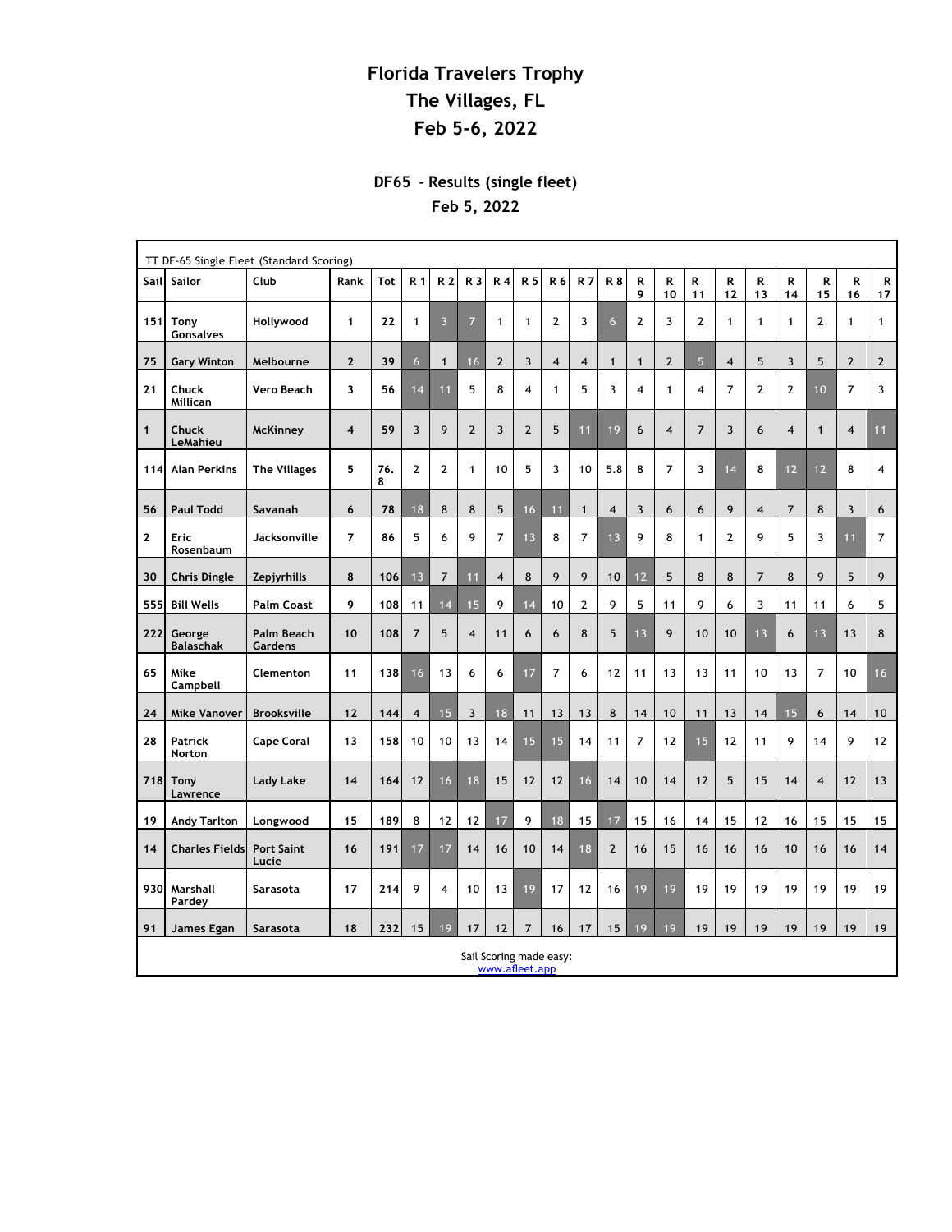## **Florida Travelers Trophy The Villages, FL Feb 5-6, 2022**

## **DF65 - Results (single fleet) Feb 5, 2022**

| TT DF-65 Single Fleet (Standard Scoring) |                                           |                            |                         |          |                         |                |                         |                         |                         |                |                         |                |                |                |                |                         |                |                |                |                |                |
|------------------------------------------|-------------------------------------------|----------------------------|-------------------------|----------|-------------------------|----------------|-------------------------|-------------------------|-------------------------|----------------|-------------------------|----------------|----------------|----------------|----------------|-------------------------|----------------|----------------|----------------|----------------|----------------|
| Sail                                     | Sailor                                    | Club                       | Rank                    | Tot      | R 1                     | R <sub>2</sub> | R 3                     | R <sub>4</sub>          | R 5                     | R 6            | <b>R7</b>               | <b>R8</b>      | R<br>9         | R<br>10        | R<br>11        | R<br>12                 | R<br>13        | R<br>14        | R<br>15        | R<br>16        | R<br>17        |
| 151                                      | <b>Tony</b><br>Gonsalves                  | Hollywood                  | 1                       | 22       | $\mathbf{1}$            | $\overline{3}$ | $\overline{7}$          | $\mathbf{1}$            | $\mathbf{1}$            | $\mathbf{2}$   | 3                       | 6              | $\overline{2}$ | 3              | $\overline{2}$ | $\mathbf{1}$            | $\mathbf{1}$   | $\mathbf{1}$   | $\mathbf{2}$   | $\mathbf{1}$   | $\mathbf{1}$   |
| 75                                       | <b>Gary Winton</b>                        | Melbourne                  | $\overline{\mathbf{c}}$ | 39       | $6\phantom{a}$          | $\mathbf{1}$   | 16                      | $\overline{2}$          | 3                       | $\overline{4}$ | $\overline{\mathbf{4}}$ | $\mathbf{1}$   | $\mathbf{1}$   | $\mathbf{2}$   | 5              | $\overline{\mathbf{4}}$ | 5              | $\overline{3}$ | 5              | $\overline{2}$ | $\overline{2}$ |
| 21                                       | Chuck<br>Millican                         | Vero Beach                 | 3                       | 56       | 14                      | 11             | 5                       | 8                       | $\overline{\mathbf{4}}$ | $\mathbf{1}$   | 5                       | 3              | $\overline{4}$ | $\mathbf{1}$   | $\overline{4}$ | 7                       | 2              | $\mathbf{2}$   | 10             | $\overline{7}$ | 3              |
| $\mathbf{1}$                             | Chuck<br>LeMahieu                         | <b>McKinney</b>            | $\overline{\mathbf{4}}$ | 59       | $\overline{3}$          | 9              | $\overline{2}$          | $\overline{3}$          | $\overline{2}$          | 5              | 11                      | 19             | 6              | $\overline{4}$ | $\overline{7}$ | 3                       | 6              | $\overline{4}$ | $\mathbf{1}$   | $\overline{4}$ | 11             |
| 114                                      | <b>Alan Perkins</b>                       | <b>The Villages</b>        | 5                       | 76.<br>8 | $\overline{2}$          | $\mathbf{2}$   | $\mathbf{1}$            | 10                      | 5                       | 3              | 10                      | 5.8            | 8              | $\overline{7}$ | 3              | 14                      | 8              | 12             | 12             | 8              | $\overline{4}$ |
| 56                                       | <b>Paul Todd</b>                          | Savanah                    | 6                       | 78       | 18                      | 8              | 8                       | 5                       | 16                      | 11             | $\mathbf{1}$            | 4              | 3              | 6              | 6              | 9                       | 4              | $\overline{7}$ | 8              | 3              | 6              |
| $\mathbf{2}$                             | Eric<br>Rosenbaum                         | Jacksonville               | 7                       | 86       | 5                       | 6              | 9                       | $\overline{7}$          | 13                      | 8              | $\overline{7}$          | 13             | 9              | 8              | $\mathbf{1}$   | 2                       | 9              | 5              | 3              | 11             | $\overline{7}$ |
| 30                                       | <b>Chris Dingle</b>                       | Zepjyrhills                | 8                       | 106      | 13                      | $\overline{7}$ | 11                      | $\overline{\mathbf{4}}$ | 8                       | 9              | 9                       | 10             | 12             | 5              | 8              | 8                       | $\overline{7}$ | 8              | 9              | 5              | 9              |
| 555                                      | <b>Bill Wells</b>                         | <b>Palm Coast</b>          | 9                       | 108      | 11                      | 14             | 15                      | 9                       | 14                      | 10             | $\mathbf{2}$            | 9              | 5              | 11             | 9              | 6                       | 3              | 11             | 11             | 6              | 5              |
| 222                                      | George<br><b>Balaschak</b>                | Palm Beach<br>Gardens      | 10                      | 108      | $\overline{7}$          | 5              | $\overline{\mathbf{4}}$ | 11                      | 6                       | 6              | 8                       | 5              | 13             | 9              | 10             | 10                      | 13             | 6              | 13             | 13             | 8              |
| 65                                       | Mike<br>Campbell                          | Clementon                  | 11                      | 138      | 16                      | 13             | 6                       | 6                       | 17                      | $\overline{7}$ | 6                       | 12             | 11             | 13             | 13             | 11                      | 10             | 13             | $\overline{7}$ | 10             | 16             |
| 24                                       | <b>Mike Vanover</b>                       | <b>Brooksville</b>         | 12                      | 144      | $\overline{\mathbf{4}}$ | 15             | $\overline{\mathbf{3}}$ | 18                      | 11                      | 13             | 13                      | 8              | 14             | 10             | 11             | 13                      | 14             | 15             | 6              | 14             | 10             |
| 28                                       | Patrick<br>Norton                         | <b>Cape Coral</b>          | 13                      | 158      | 10                      | 10             | 13                      | 14                      | 15                      | 15             | 14                      | 11             | $\overline{7}$ | 12             | 15             | 12                      | 11             | 9              | 14             | 9              | 12             |
| 718                                      | Tony<br>Lawrence                          | <b>Lady Lake</b>           | 14                      | 164      | 12                      | 16             | 18                      | 15                      | 12                      | 12             | 16                      | 14             | 10             | 14             | 12             | 5                       | 15             | 14             | $\overline{4}$ | 12             | 13             |
| 19                                       | <b>Andy Tarlton</b>                       | Longwood                   | 15                      | 189      | 8                       | 12             | 12                      | 17                      | 9                       | 18             | 15                      | 17             | 15             | 16             | 14             | 15                      | 12             | 16             | 15             | 15             | 15             |
| 14                                       | <b>Charles Fields</b>                     | <b>Port Saint</b><br>Lucie | 16                      | 191      | 17                      | 17             | 14                      | 16                      | 10                      | 14             | 18                      | $\overline{2}$ | 16             | 15             | 16             | 16                      | 16             | 10             | 16             | 16             | 14             |
| 930                                      | Marshall<br>Pardey                        | Sarasota                   | 17                      | 214      | 9                       | $\overline{4}$ | 10                      | 13                      | 19                      | 17             | 12                      | 16             | 19             | 19             | 19             | 19                      | 19             | 19             | 19             | 19             | 19             |
| 91                                       | James Egan                                | Sarasota                   | 18                      | 232      | 15                      | 19             | 17                      | 12                      | $\overline{7}$          | 16             | 17                      | 15             | 19             | 19             | 19             | 19                      | 19             | 19             | 19             | 19             | 19             |
|                                          | Sail Scoring made easy:<br>www.afleet.app |                            |                         |          |                         |                |                         |                         |                         |                |                         |                |                |                |                |                         |                |                |                |                |                |